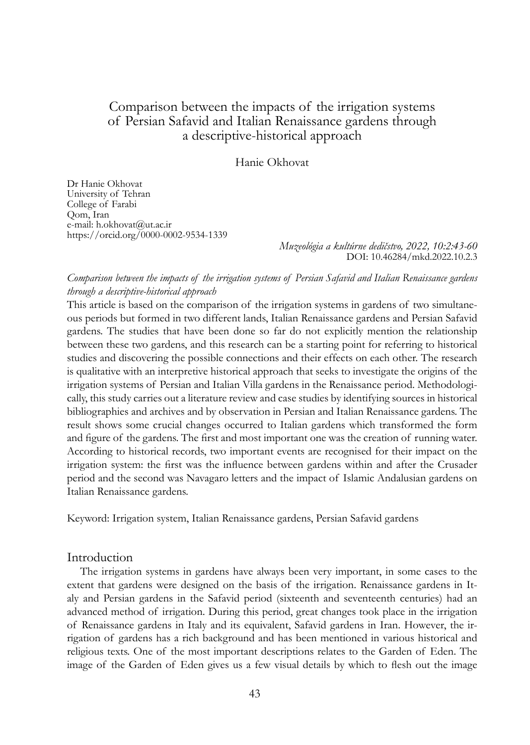# Comparison between the impacts of the irrigation systems of Persian Safavid and Italian Renaissance gardens through a descriptive-historical approach

## Hanie Okhovat

Dr Hanie Okhovat University of Tehran College of Farabi Qom, Iran e-mail: h.okhovat@ut.ac.ir https://orcid.org/0000-0002-9534-1339

> *Muzeológia a kultúrne dedičstvo, 2022, 10:2:43-60* DOI: 10.46284/mkd.2022.10.2.3

## *Comparison between the impacts of the irrigation systems of Persian Safavid and Italian Renaissance gardens through a descriptive-historical approach*

This article is based on the comparison of the irrigation systems in gardens of two simultaneous periods but formed in two different lands, Italian Renaissance gardens and Persian Safavid gardens. The studies that have been done so far do not explicitly mention the relationship between these two gardens, and this research can be a starting point for referring to historical studies and discovering the possible connections and their effects on each other. The research is qualitative with an interpretive historical approach that seeks to investigate the origins of the irrigation systems of Persian and Italian Villa gardens in the Renaissance period. Methodologically, this study carries out a literature review and case studies by identifying sources in historical bibliographies and archives and by observation in Persian and Italian Renaissance gardens. The result shows some crucial changes occurred to Italian gardens which transformed the form and figure of the gardens. The first and most important one was the creation of running water. According to historical records, two important events are recognised for their impact on the irrigation system: the first was the influence between gardens within and after the Crusader period and the second was Navagaro letters and the impact of Islamic Andalusian gardens on Italian Renaissance gardens.

Keyword: Irrigation system, Italian Renaissance gardens, Persian Safavid gardens

#### Introduction

The irrigation systems in gardens have always been very important, in some cases to the extent that gardens were designed on the basis of the irrigation. Renaissance gardens in Italy and Persian gardens in the Safavid period (sixteenth and seventeenth centuries) had an advanced method of irrigation. During this period, great changes took place in the irrigation of Renaissance gardens in Italy and its equivalent, Safavid gardens in Iran. However, the irrigation of gardens has a rich background and has been mentioned in various historical and religious texts. One of the most important descriptions relates to the Garden of Eden. The image of the Garden of Eden gives us a few visual details by which to flesh out the image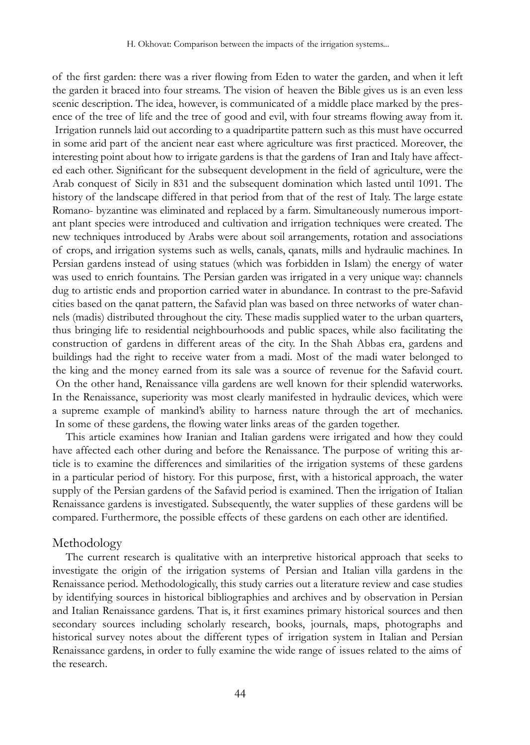of the first garden: there was a river flowing from Eden to water the garden, and when it left the garden it braced into four streams. The vision of heaven the Bible gives us is an even less scenic description. The idea, however, is communicated of a middle place marked by the presence of the tree of life and the tree of good and evil, with four streams flowing away from it. Irrigation runnels laid out according to a quadripartite pattern such as this must have occurred in some arid part of the ancient near east where agriculture was first practiced. Moreover, the interesting point about how to irrigate gardens is that the gardens of Iran and Italy have affected each other. Significant for the subsequent development in the field of agriculture, were the Arab conquest of Sicily in 831 and the subsequent domination which lasted until 1091. The history of the landscape differed in that period from that of the rest of Italy. The large estate Romano- byzantine was eliminated and replaced by a farm. Simultaneously numerous important plant species were introduced and cultivation and irrigation techniques were created. The new techniques introduced by Arabs were about soil arrangements, rotation and associations of crops, and irrigation systems such as wells, canals, qanats, mills and hydraulic machines. In Persian gardens instead of using statues (which was forbidden in Islam) the energy of water was used to enrich fountains. The Persian garden was irrigated in a very unique way: channels dug to artistic ends and proportion carried water in abundance. In contrast to the pre-Safavid cities based on the qanat pattern, the Safavid plan was based on three networks of water channels (madis) distributed throughout the city. These madis supplied water to the urban quarters, thus bringing life to residential neighbourhoods and public spaces, while also facilitating the construction of gardens in different areas of the city. In the Shah Abbas era, gardens and buildings had the right to receive water from a madi. Most of the madi water belonged to the king and the money earned from its sale was a source of revenue for the Safavid court. On the other hand, Renaissance villa gardens are well known for their splendid waterworks. In the Renaissance, superiority was most clearly manifested in hydraulic devices, which were a supreme example of mankind's ability to harness nature through the art of mechanics. In some of these gardens, the flowing water links areas of the garden together.

This article examines how Iranian and Italian gardens were irrigated and how they could have affected each other during and before the Renaissance. The purpose of writing this article is to examine the differences and similarities of the irrigation systems of these gardens in a particular period of history. For this purpose, first, with a historical approach, the water supply of the Persian gardens of the Safavid period is examined. Then the irrigation of Italian Renaissance gardens is investigated. Subsequently, the water supplies of these gardens will be compared. Furthermore, the possible effects of these gardens on each other are identified.

#### Methodology

The current research is qualitative with an interpretive historical approach that seeks to investigate the origin of the irrigation systems of Persian and Italian villa gardens in the Renaissance period. Methodologically, this study carries out a literature review and case studies by identifying sources in historical bibliographies and archives and by observation in Persian and Italian Renaissance gardens. That is, it first examines primary historical sources and then secondary sources including scholarly research, books, journals, maps, photographs and historical survey notes about the different types of irrigation system in Italian and Persian Renaissance gardens, in order to fully examine the wide range of issues related to the aims of the research.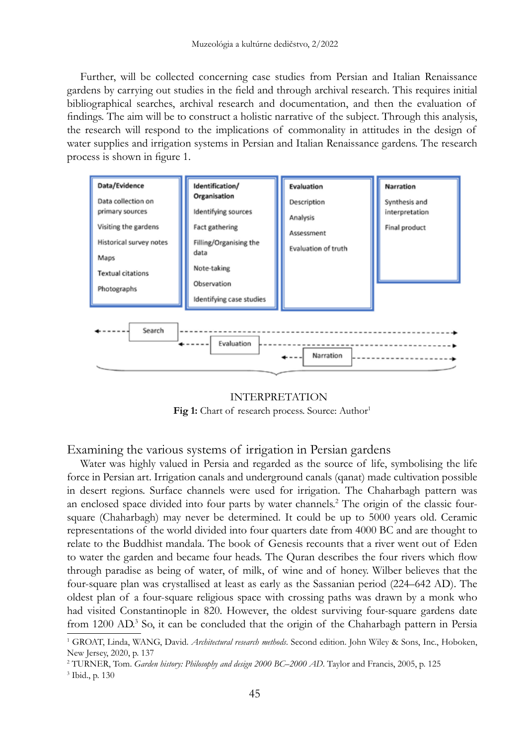Further, will be collected concerning case studies from Persian and Italian Renaissance gardens by carrying out studies in the field and through archival research. This requires initial bibliographical searches, archival research and documentation, and then the evaluation of findings. The aim will be to construct a holistic narrative of the subject. Through this analysis, the research will respond to the implications of commonality in attitudes in the design of water supplies and irrigation systems in Persian and Italian Renaissance gardens. The research process is shown in figure 1.



INTERPRETATION **Fig 1:** Chart of research process. Source: Author<sup>1</sup>

Examining the various systems of irrigation in Persian gardens

Water was highly valued in Persia and regarded as the source of life, symbolising the life force in Persian art. Irrigation canals and underground canals (qanat) made cultivation possible in desert regions. Surface channels were used for irrigation. The Chaharbagh pattern was an enclosed space divided into four parts by water channels.<sup>2</sup> The origin of the classic foursquare (Chaharbagh) may never be determined. It could be up to 5000 years old. Ceramic representations of the world divided into four quarters date from 4000 BC and are thought to relate to the Buddhist mandala. The book of Genesis recounts that a river went out of Eden to water the garden and became four heads. The Quran describes the four rivers which flow through paradise as being of water, of milk, of wine and of honey. Wilber believes that the four-square plan was crystallised at least as early as the Sassanian period (224–642 AD). The oldest plan of a four-square religious space with crossing paths was drawn by a monk who had visited Constantinople in 820. However, the oldest surviving four-square gardens date from 1200 AD.<sup>3</sup> So, it can be concluded that the origin of the Chaharbagh pattern in Persia

<sup>&</sup>lt;sup>1</sup> GROAT, Linda, WANG, David. *Architectural research methods*. Second edition. John Wiley & Sons, Inc., Hoboken, New Jersey, 2020, p. 137

<sup>2</sup> TURNER, Tom. *Garden history: Philosophy and design 2000 BC–2000 AD*. Taylor and Francis, 2005, p. 125

<sup>3</sup> Ibid., p. 130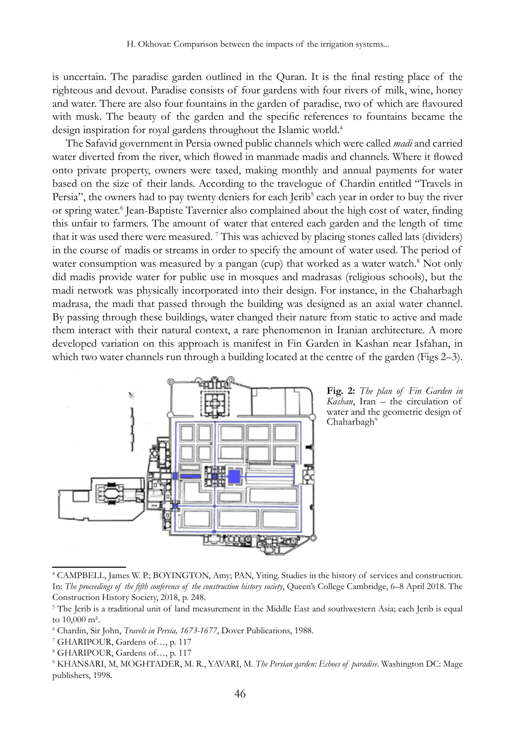is uncertain. The paradise garden outlined in the Quran. It is the final resting place of the righteous and devout. Paradise consists of four gardens with four rivers of milk, wine, honey and water. There are also four fountains in the garden of paradise, two of which are flavoured with musk. The beauty of the garden and the specific references to fountains became the design inspiration for royal gardens throughout the Islamic world.<sup>4</sup>

The Safavid government in Persia owned public channels which were called *madi* and carried water diverted from the river, which flowed in manmade madis and channels. Where it flowed onto private property, owners were taxed, making monthly and annual payments for water based on the size of their lands. According to the travelogue of Chardin entitled "Travels in Persia", the owners had to pay twenty deniers for each Jerib<sup>5</sup> each year in order to buy the river or spring water.<sup>6</sup> Jean-Baptiste Tavernier also complained about the high cost of water, finding this unfair to farmers. The amount of water that entered each garden and the length of time that it was used there were measured.<sup>7</sup> This was achieved by placing stones called lats (dividers) in the course of madis or streams in order to specify the amount of water used. The period of water consumption was measured by a pangan (cup) that worked as a water watch.<sup>8</sup> Not only did madis provide water for public use in mosques and madrasas (religious schools), but the madi network was physically incorporated into their design. For instance, in the Chaharbagh madrasa, the madi that passed through the building was designed as an axial water channel. By passing through these buildings, water changed their nature from static to active and made them interact with their natural context, a rare phenomenon in Iranian architecture. A more developed variation on this approach is manifest in Fin Garden in Kashan near Isfahan, in which two water channels run through a building located at the centre of the garden (Figs 2–3).



**Fig. 2:** *The plan of Fin Garden in Kashan*, Iran – the circulation of water and the geometric design of Chaharbagh<sup>9</sup>

<sup>4</sup> CAMPBELL, James W. P.; BOYINGTON, Amy; PAN, Yiting. Studies in the history of services and construction. In: *The proceedings of the fifth conference of the construction history society*, Queen's College Cambridge, 6–8 April 2018. The Construction History Society, 2018, p. 248.

<sup>5</sup> The Jerib is a traditional unit of land measurement in the Middle East and southwestern Asia; each Jerib is equal to 10,000 m².

<sup>6</sup> Chardin, Sir John, *Travels in Persia, 1673-1677*, Dover Publications, 1988.

<sup>7</sup> GHARIPOUR, Gardens of…, p. 117

<sup>8</sup> GHARIPOUR, Gardens of…, p. 117

<sup>9</sup> KHANSARI, M, MOGHTADER, M. R., YAVARI, M. *The Persian garden: Echoes of paradise*. Washington DC: Mage publishers, 1998.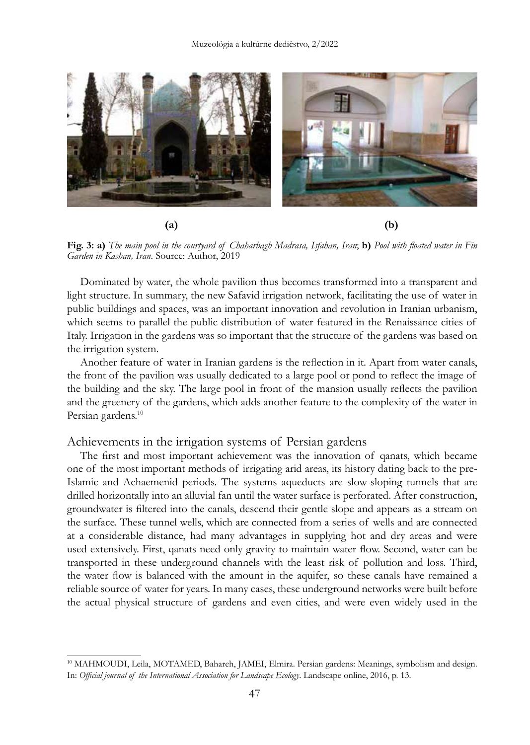

**Fig. 3: a)** *The main pool in the courtyard of Chaharbagh Madrasa, Isfahan, Iran*; **b)** *Pool with floated water in Fin Garden in Kashan, Iran*. Source: Author, 2019

Dominated by water, the whole pavilion thus becomes transformed into a transparent and light structure. In summary, the new Safavid irrigation network, facilitating the use of water in public buildings and spaces, was an important innovation and revolution in Iranian urbanism, which seems to parallel the public distribution of water featured in the Renaissance cities of Italy. Irrigation in the gardens was so important that the structure of the gardens was based on the irrigation system.

Another feature of water in Iranian gardens is the reflection in it. Apart from water canals, the front of the pavilion was usually dedicated to a large pool or pond to reflect the image of the building and the sky. The large pool in front of the mansion usually reflects the pavilion and the greenery of the gardens, which adds another feature to the complexity of the water in Persian gardens.<sup>10</sup>

#### Achievements in the irrigation systems of Persian gardens

The first and most important achievement was the innovation of qanats, which became one of the most important methods of irrigating arid areas, its history dating back to the pre-Islamic and Achaemenid periods. The systems aqueducts are slow-sloping tunnels that are drilled horizontally into an alluvial fan until the water surface is perforated. After construction, groundwater is filtered into the canals, descend their gentle slope and appears as a stream on the surface. These tunnel wells, which are connected from a series of wells and are connected at a considerable distance, had many advantages in supplying hot and dry areas and were used extensively. First, qanats need only gravity to maintain water flow. Second, water can be transported in these underground channels with the least risk of pollution and loss. Third, the water flow is balanced with the amount in the aquifer, so these canals have remained a reliable source of water for years. In many cases, these underground networks were built before the actual physical structure of gardens and even cities, and were even widely used in the

<sup>10</sup> MAHMOUDI, Leila, MOTAMED, Bahareh, JAMEI, Elmira. Persian gardens: Meanings, symbolism and design. In: *Official journal of the International Association for Landscape Ecology*. Landscape online, 2016, p. 13.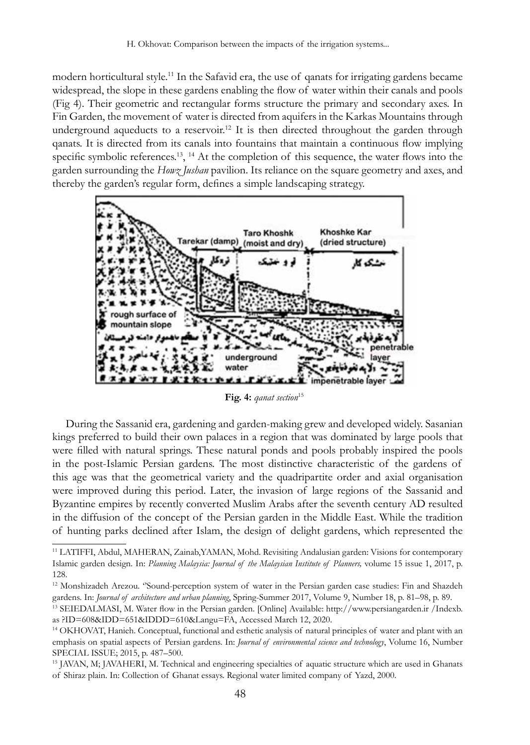modern horticultural style.<sup>11</sup> In the Safavid era, the use of qanats for irrigating gardens became widespread, the slope in these gardens enabling the flow of water within their canals and pools (Fig 4). Their geometric and rectangular forms structure the primary and secondary axes. In Fin Garden, the movement of water is directed from aquifers in the Karkas Mountains through underground aqueducts to a reservoir.<sup>12</sup> It is then directed throughout the garden through qanats. It is directed from its canals into fountains that maintain a continuous flow implying specific symbolic references.<sup>13</sup>, <sup>14</sup> At the completion of this sequence, the water flows into the garden surrounding the *Howz Jushan* pavilion. Its reliance on the square geometry and axes, and thereby the garden's regular form, defines a simple landscaping strategy.



Fig. 4: *qanat section*<sup>15</sup>

During the Sassanid era, gardening and garden-making grew and developed widely. Sasanian kings preferred to build their own palaces in a region that was dominated by large pools that were filled with natural springs. These natural ponds and pools probably inspired the pools in the post-Islamic Persian gardens. The most distinctive characteristic of the gardens of this age was that the geometrical variety and the quadripartite order and axial organisation were improved during this period. Later, the invasion of large regions of the Sassanid and Byzantine empires by recently converted Muslim Arabs after the seventh century AD resulted in the diffusion of the concept of the Persian garden in the Middle East. While the tradition of hunting parks declined after Islam, the design of delight gardens, which represented the

<sup>15</sup> JAVAN, M; JAVAHERI, M. Technical and engineering specialties of aquatic structure which are used in Ghanats of Shiraz plain. In: Collection of Ghanat essays. Regional water limited company of Yazd, 2000.

<sup>&</sup>lt;sup>11</sup> LATIFFI, Abdul, MAHERAN, Zainab, YAMAN, Mohd. Revisiting Andalusian garden: Visions for contemporary Islamic garden design. In: *Planning Malaysia: Journal of the Malaysian Institute of Planners,* volume 15 issue 1, 2017, p. 128.

<sup>&</sup>lt;sup>12</sup> Monshizadeh Arezou. "Sound-perception system of water in the Persian garden case studies: Fin and Shazdeh gardens. In: *Journal of architecture and urban planning*, Spring-Summer 2017, Volume 9, Number 18, p. 81–98, p. 89.

<sup>13</sup> SEIEDALMASI, M. Water flow in the Persian garden. [Online] Available: http://www.persiangarden.ir /Indexb. as ?ID=608&IDD=651&IDDD=610&Langu=FA, Accessed March 12, 2020.

<sup>14</sup> OKHOVAT, Hanieh. Conceptual, functional and esthetic analysis of natural principles of water and plant with an emphasis on spatial aspects of Persian gardens. In: *Journal of environmental science and technology*, Volume 16, Number SPECIAL ISSUE; 2015, p. 487–500.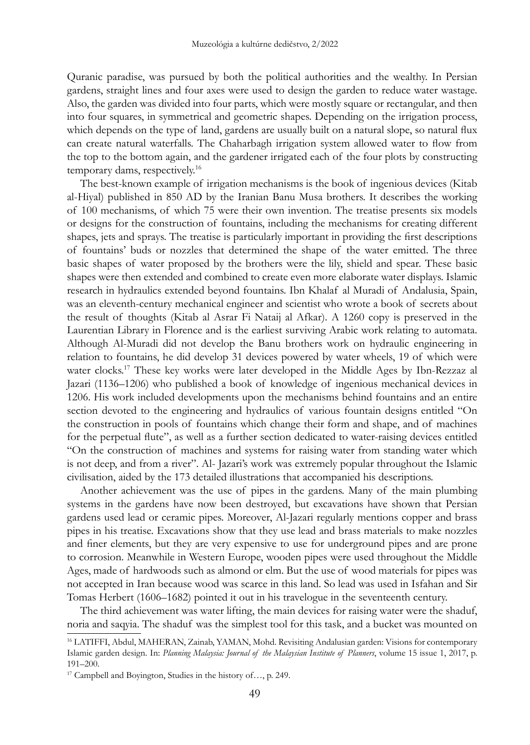Quranic paradise, was pursued by both the political authorities and the wealthy. In Persian gardens, straight lines and four axes were used to design the garden to reduce water wastage. Also, the garden was divided into four parts, which were mostly square or rectangular, and then into four squares, in symmetrical and geometric shapes. Depending on the irrigation process, which depends on the type of land, gardens are usually built on a natural slope, so natural flux can create natural waterfalls. The Chaharbagh irrigation system allowed water to flow from the top to the bottom again, and the gardener irrigated each of the four plots by constructing temporary dams, respectively.16

The best-known example of irrigation mechanisms is the book of ingenious devices (Kitab al-Hiyal) published in 850 AD by the Iranian Banu Musa brothers. It describes the working of 100 mechanisms, of which 75 were their own invention. The treatise presents six models or designs for the construction of fountains, including the mechanisms for creating different shapes, jets and sprays. The treatise is particularly important in providing the first descriptions of fountains' buds or nozzles that determined the shape of the water emitted. The three basic shapes of water proposed by the brothers were the lily, shield and spear. These basic shapes were then extended and combined to create even more elaborate water displays. Islamic research in hydraulics extended beyond fountains. Ibn Khalaf al Muradi of Andalusia, Spain, was an eleventh-century mechanical engineer and scientist who wrote a book of secrets about the result of thoughts (Kitab al Asrar Fi Nataij al Afkar). A 1260 copy is preserved in the Laurentian Library in Florence and is the earliest surviving Arabic work relating to automata. Although Al-Muradi did not develop the Banu brothers work on hydraulic engineering in relation to fountains, he did develop 31 devices powered by water wheels, 19 of which were water clocks.<sup>17</sup> These key works were later developed in the Middle Ages by Ibn-Rezzaz al Jazari (1136–1206) who published a book of knowledge of ingenious mechanical devices in 1206. His work included developments upon the mechanisms behind fountains and an entire section devoted to the engineering and hydraulics of various fountain designs entitled "On the construction in pools of fountains which change their form and shape, and of machines for the perpetual flute", as well as a further section dedicated to water-raising devices entitled "On the construction of machines and systems for raising water from standing water which is not deep, and from a river". Al- Jazari's work was extremely popular throughout the Islamic civilisation, aided by the 173 detailed illustrations that accompanied his descriptions.

Another achievement was the use of pipes in the gardens. Many of the main plumbing systems in the gardens have now been destroyed, but excavations have shown that Persian gardens used lead or ceramic pipes. Moreover, Al-Jazari regularly mentions copper and brass pipes in his treatise. Excavations show that they use lead and brass materials to make nozzles and finer elements, but they are very expensive to use for underground pipes and are prone to corrosion. Meanwhile in Western Europe, wooden pipes were used throughout the Middle Ages, made of hardwoods such as almond or elm. But the use of wood materials for pipes was not accepted in Iran because wood was scarce in this land. So lead was used in Isfahan and Sir Tomas Herbert (1606–1682) pointed it out in his travelogue in the seventeenth century.

The third achievement was water lifting, the main devices for raising water were the shaduf, noria and saqyia. The shaduf was the simplest tool for this task, and a bucket was mounted on

<sup>16</sup> LATIFFI, Abdul, MAHERAN, Zainab, YAMAN, Mohd. Revisiting Andalusian garden: Visions for contemporary Islamic garden design. In: *Planning Malaysia: Journal of the Malaysian Institute of Planners*, volume 15 issue 1, 2017, p. 191–200.

<sup>17</sup> Campbell and Boyington, Studies in the history of…, p. 249.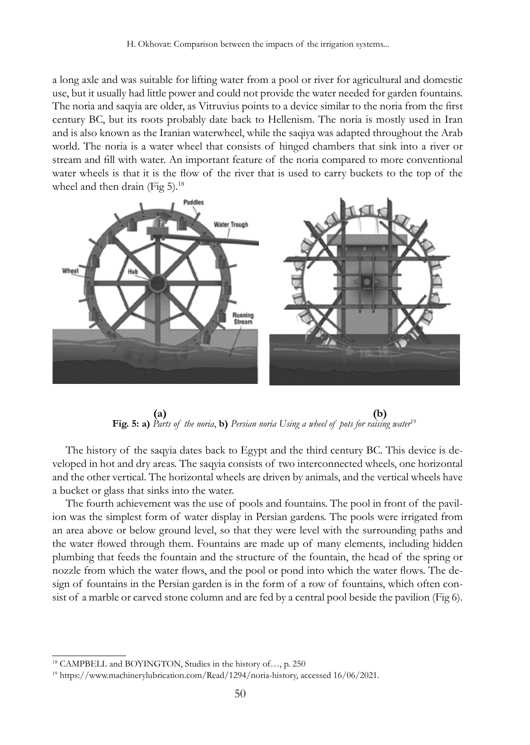a long axle and was suitable for lifting water from a pool or river for agricultural and domestic use, but it usually had little power and could not provide the water needed for garden fountains. The noria and saqyia are older, as Vitruvius points to a device similar to the noria from the first century BC, but its roots probably date back to Hellenism. The noria is mostly used in Iran and is also known as the Iranian waterwheel, while the saqiya was adapted throughout the Arab world. The noria is a water wheel that consists of hinged chambers that sink into a river or stream and fill with water. An important feature of the noria compared to more conventional water wheels is that it is the flow of the river that is used to carry buckets to the top of the wheel and then drain (Fig 5). $^{18}$ 



 **(a) (b) Fig. 5: a)** *Parts of the noria*, **b)** *Persian noria Using a wheel of pots for raising water*<sup>19</sup>

The history of the saqyia dates back to Egypt and the third century BC. This device is developed in hot and dry areas. The saqyia consists of two interconnected wheels, one horizontal and the other vertical. The horizontal wheels are driven by animals, and the vertical wheels have a bucket or glass that sinks into the water.

The fourth achievement was the use of pools and fountains. The pool in front of the pavilion was the simplest form of water display in Persian gardens. The pools were irrigated from an area above or below ground level, so that they were level with the surrounding paths and the water flowed through them. Fountains are made up of many elements, including hidden plumbing that feeds the fountain and the structure of the fountain, the head of the spring or nozzle from which the water flows, and the pool or pond into which the water flows. The design of fountains in the Persian garden is in the form of a row of fountains, which often consist of a marble or carved stone column and are fed by a central pool beside the pavilion (Fig 6).

<sup>18</sup> CAMPBELL and BOYINGTON, Studies in the history of…, p. 250

<sup>19</sup> https://www.machinerylubrication.com/Read/1294/noria-history, accessed 16/06/2021.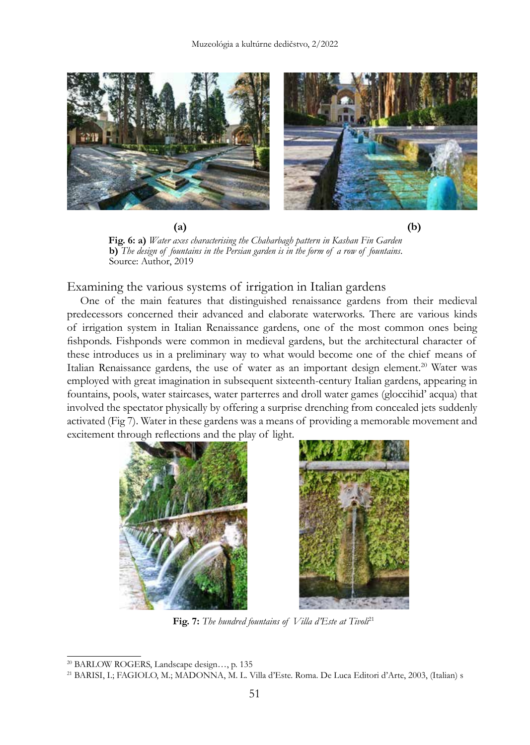

 **(a) (b)**

 **Fig. 6: a)** *Water axes characterising the Chaharbagh pattern in Kashan Fin Garden* **b)** *The design of fountains in the Persian garden is in the form of a row of fountains*. Source: Author, 2019

Examining the various systems of irrigation in Italian gardens

One of the main features that distinguished renaissance gardens from their medieval predecessors concerned their advanced and elaborate waterworks. There are various kinds of irrigation system in Italian Renaissance gardens, one of the most common ones being fishponds. Fishponds were common in medieval gardens, but the architectural character of these introduces us in a preliminary way to what would become one of the chief means of Italian Renaissance gardens, the use of water as an important design element.<sup>20</sup> Water was employed with great imagination in subsequent sixteenth-century Italian gardens, appearing in fountains, pools, water staircases, water parterres and droll water games (gloccihid' acqua) that involved the spectator physically by offering a surprise drenching from concealed jets suddenly activated (Fig 7). Water in these gardens was a means of providing a memorable movement and excitement through reflections and the play of light.





Fig. 7: The hundred fountains of *Villa d'Este at Tivoli*<sup>21</sup>

<sup>20</sup> BARLOW ROGERS, Landscape design…, p. 135

<sup>21</sup> BARISI, I.; FAGIOLO, M.; MADONNA, M. L. Villa d'Este. Roma. De Luca Editori d'Arte, 2003, (Italian) s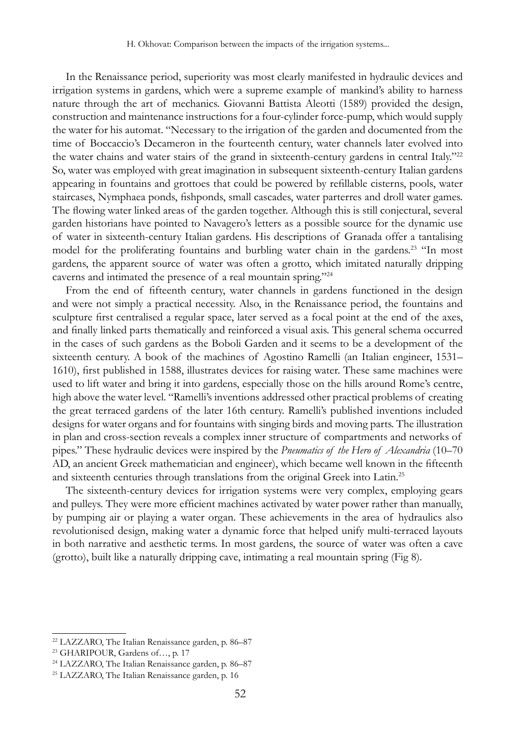In the Renaissance period, superiority was most clearly manifested in hydraulic devices and irrigation systems in gardens, which were a supreme example of mankind's ability to harness nature through the art of mechanics. Giovanni Battista Aleotti (1589) provided the design, construction and maintenance instructions for a four-cylinder force-pump, which would supply the water for his automat. "Necessary to the irrigation of the garden and documented from the time of Boccaccio's Decameron in the fourteenth century, water channels later evolved into the water chains and water stairs of the grand in sixteenth-century gardens in central Italy."<sup>22</sup> So, water was employed with great imagination in subsequent sixteenth-century Italian gardens appearing in fountains and grottoes that could be powered by refillable cisterns, pools, water staircases, Nymphaea ponds, fishponds, small cascades, water parterres and droll water games. The flowing water linked areas of the garden together. Although this is still conjectural, several garden historians have pointed to Navagero's letters as a possible source for the dynamic use of water in sixteenth-century Italian gardens. His descriptions of Granada offer a tantalising model for the proliferating fountains and burbling water chain in the gardens.<sup>23</sup> "In most gardens, the apparent source of water was often a grotto, which imitated naturally dripping caverns and intimated the presence of a real mountain spring."24

From the end of fifteenth century, water channels in gardens functioned in the design and were not simply a practical necessity. Also, in the Renaissance period, the fountains and sculpture first centralised a regular space, later served as a focal point at the end of the axes, and finally linked parts thematically and reinforced a visual axis. This general schema occurred in the cases of such gardens as the Boboli Garden and it seems to be a development of the sixteenth century. A book of the machines of Agostino Ramelli (an Italian engineer, 1531– 1610), first published in 1588, illustrates devices for raising water. These same machines were used to lift water and bring it into gardens, especially those on the hills around Rome's centre, high above the water level. "Ramelli's inventions addressed other practical problems of creating the great terraced gardens of the later 16th century. Ramelli's published inventions included designs for water organs and for fountains with singing birds and moving parts. The illustration in plan and cross-section reveals a complex inner structure of compartments and networks of pipes." These hydraulic devices were inspired by the *Pneumatics of the Hero of Alexandria* (10–70 AD, an ancient Greek mathematician and engineer), which became well known in the fifteenth and sixteenth centuries through translations from the original Greek into Latin.25

The sixteenth-century devices for irrigation systems were very complex, employing gears and pulleys. They were more efficient machines activated by water power rather than manually, by pumping air or playing a water organ. These achievements in the area of hydraulics also revolutionised design, making water a dynamic force that helped unify multi-terraced layouts in both narrative and aesthetic terms. In most gardens, the source of water was often a cave (grotto), built like a naturally dripping cave, intimating a real mountain spring (Fig 8).

<sup>22</sup> LAZZARO, The Italian Renaissance garden, p. 86–87

<sup>23</sup> GHARIPOUR, Gardens of…, p. 17

<sup>24</sup> LAZZARO, The Italian Renaissance garden, p. 86–87

<sup>25</sup> LAZZARO, The Italian Renaissance garden, p. 16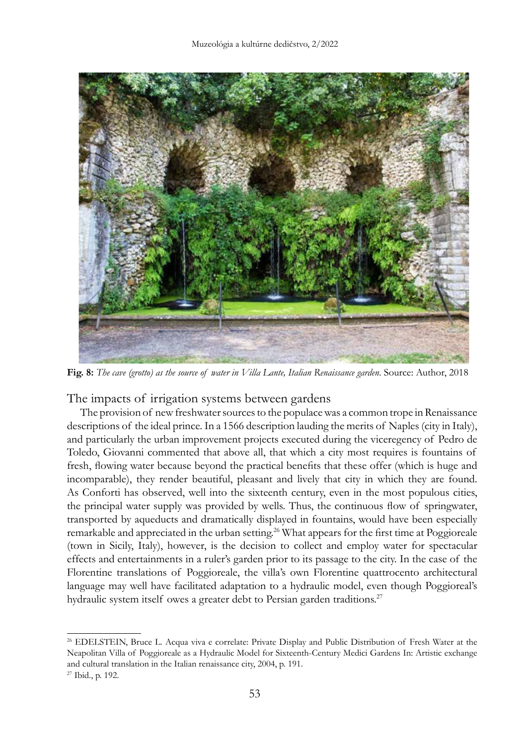

**Fig. 8:** *The cave (grotto) as the source of water in Villa Lante, Italian Renaissance garden*. Source: Author, 2018

The impacts of irrigation systems between gardens

The provision of new freshwater sources to the populace was a common trope in Renaissance descriptions of the ideal prince. In a 1566 description lauding the merits of Naples (city in Italy), and particularly the urban improvement projects executed during the viceregency of Pedro de Toledo, Giovanni commented that above all, that which a city most requires is fountains of fresh, flowing water because beyond the practical benefits that these offer (which is huge and incomparable), they render beautiful, pleasant and lively that city in which they are found. As Conforti has observed, well into the sixteenth century, even in the most populous cities, the principal water supply was provided by wells. Thus, the continuous flow of springwater, transported by aqueducts and dramatically displayed in fountains, would have been especially remarkable and appreciated in the urban setting.<sup>26</sup> What appears for the first time at Poggioreale (town in Sicily, Italy), however, is the decision to collect and employ water for spectacular effects and entertainments in a ruler's garden prior to its passage to the city. In the case of the Florentine translations of Poggioreale, the villa's own Florentine quattrocento architectural language may well have facilitated adaptation to a hydraulic model, even though Poggioreal's hydraulic system itself owes a greater debt to Persian garden traditions.<sup>27</sup>

<sup>&</sup>lt;sup>26</sup> EDELSTEIN, Bruce L. Acqua viva e correlate: Private Display and Public Distribution of Fresh Water at the Neapolitan Villa of Poggioreale as a Hydraulic Model for Sixteenth-Century Medici Gardens In: Artistic exchange and cultural translation in the Italian renaissance city, 2004, p. 191.

<sup>27</sup> Ibid., p. 192.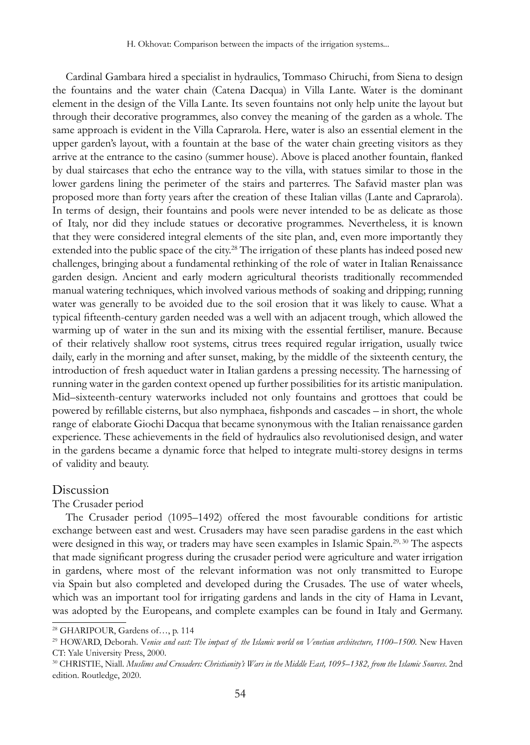Cardinal Gambara hired a specialist in hydraulics, Tommaso Chiruchi, from Siena to design the fountains and the water chain (Catena Dacqua) in Villa Lante. Water is the dominant element in the design of the Villa Lante. Its seven fountains not only help unite the layout but through their decorative programmes, also convey the meaning of the garden as a whole. The same approach is evident in the Villa Caprarola. Here, water is also an essential element in the upper garden's layout, with a fountain at the base of the water chain greeting visitors as they arrive at the entrance to the casino (summer house). Above is placed another fountain, flanked by dual staircases that echo the entrance way to the villa, with statues similar to those in the lower gardens lining the perimeter of the stairs and parterres. The Safavid master plan was proposed more than forty years after the creation of these Italian villas (Lante and Caprarola). In terms of design, their fountains and pools were never intended to be as delicate as those of Italy, nor did they include statues or decorative programmes. Nevertheless, it is known that they were considered integral elements of the site plan, and, even more importantly they extended into the public space of the city.<sup>28</sup> The irrigation of these plants has indeed posed new challenges, bringing about a fundamental rethinking of the role of water in Italian Renaissance garden design. Ancient and early modern agricultural theorists traditionally recommended manual watering techniques, which involved various methods of soaking and dripping; running water was generally to be avoided due to the soil erosion that it was likely to cause. What a typical fifteenth-century garden needed was a well with an adjacent trough, which allowed the warming up of water in the sun and its mixing with the essential fertiliser, manure. Because of their relatively shallow root systems, citrus trees required regular irrigation, usually twice daily, early in the morning and after sunset, making, by the middle of the sixteenth century, the introduction of fresh aqueduct water in Italian gardens a pressing necessity. The harnessing of running water in the garden context opened up further possibilities for its artistic manipulation. Mid–sixteenth-century waterworks included not only fountains and grottoes that could be powered by refillable cisterns, but also nymphaea, fishponds and cascades – in short, the whole range of elaborate Giochi Dacqua that became synonymous with the Italian renaissance garden experience. These achievements in the field of hydraulics also revolutionised design, and water in the gardens became a dynamic force that helped to integrate multi-storey designs in terms of validity and beauty.

## Discussion

#### The Crusader period

The Crusader period (1095–1492) offered the most favourable conditions for artistic exchange between east and west. Crusaders may have seen paradise gardens in the east which were designed in this way, or traders may have seen examples in Islamic Spain.<sup>29, 30</sup> The aspects that made significant progress during the crusader period were agriculture and water irrigation in gardens, where most of the relevant information was not only transmitted to Europe via Spain but also completed and developed during the Crusades. The use of water wheels, which was an important tool for irrigating gardens and lands in the city of Hama in Levant, was adopted by the Europeans, and complete examples can be found in Italy and Germany.

<sup>28</sup> GHARIPOUR, Gardens of…, p. 114

<sup>&</sup>lt;sup>29</sup> HOWARD, Deborah. Venice and east: The impact of the Islamic world on Venetian architecture, 1100–1500. New Haven CT: Yale University Press, 2000.

<sup>30</sup> CHRISTIE, Niall. *Muslims and Crusaders: Christianity's Wars in the Middle East, 1095–1382, from the Islamic Sources*. 2nd edition. Routledge, 2020.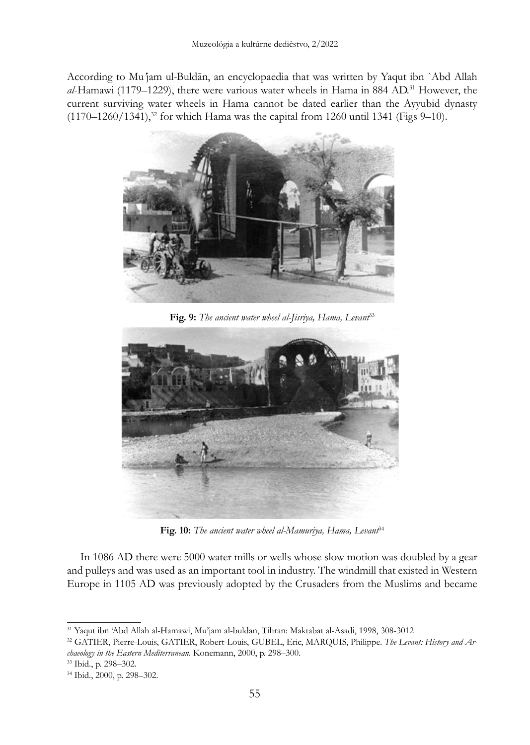According to Mu*'*jam ul*-*Buldān, an encyclopaedia that was written by Yaqut ibn `Abd Allah *al*-Hamawi (1179–1229), there were various water wheels in Hama in 884 AD.31 However, the current surviving water wheels in Hama cannot be dated earlier than the Ayyubid dynasty  $(1170-1260/1341),$ <sup>32</sup> for which Hama was the capital from 1260 until 1341 (Figs 9-10).



**Fig. 9:** *The ancient water wheel al-Jisriya, Hama, Levant*<sup>33</sup>



**Fig. 10:** *The ancient water wheel al-Mamuriya, Hama, Levant*<sup>34</sup>

In 1086 AD there were 5000 water mills or wells whose slow motion was doubled by a gear and pulleys and was used as an important tool in industry. The windmill that existed in Western Europe in 1105 AD was previously adopted by the Crusaders from the Muslims and became

<sup>31</sup> Yaqut ibn 'Abd Allah al-Hamawi, Mu'jam al-buldan, Tihran: Maktabat al-Asadi, 1998, 308-3012

<sup>32</sup> GATIER, Pierre-Louis, GATIER, Robert-Louis, GUBEL, Eric, MARQUIS, Philippe. *The Levant: History and Archaeology in the Eastern Mediterranean*. Konemann, 2000, p. 298–300.

<sup>33</sup> Ibid., p. 298–302.

<sup>34</sup> Ibid., 2000, p. 298–302.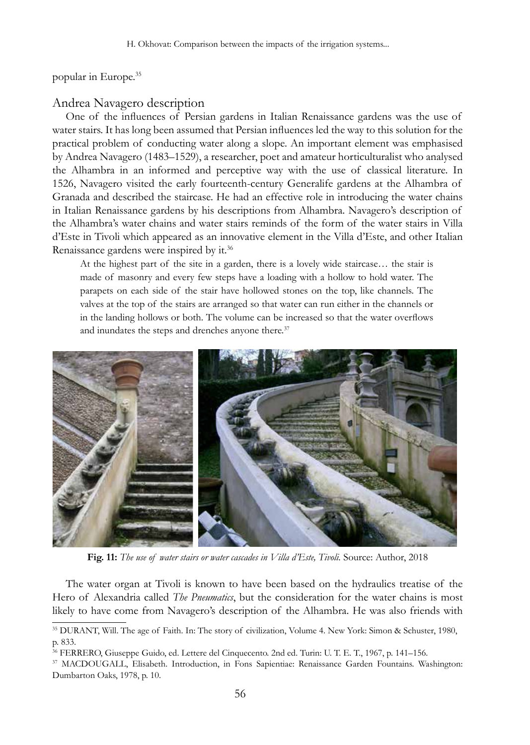popular in Europe.35

## Andrea Navagero description

One of the influences of Persian gardens in Italian Renaissance gardens was the use of water stairs. It has long been assumed that Persian influences led the way to this solution for the practical problem of conducting water along a slope. An important element was emphasised by Andrea Navagero (1483–1529), a researcher, poet and amateur horticulturalist who analysed the Alhambra in an informed and perceptive way with the use of classical literature. In 1526, Navagero visited the early fourteenth-century Generalife gardens at the Alhambra of Granada and described the staircase. He had an effective role in introducing the water chains in Italian Renaissance gardens by his descriptions from Alhambra. Navagero's description of the Alhambra's water chains and water stairs reminds of the form of the water stairs in Villa d'Este in Tivoli which appeared as an innovative element in the Villa d'Este, and other Italian Renaissance gardens were inspired by it.<sup>36</sup>

At the highest part of the site in a garden, there is a lovely wide staircase… the stair is made of masonry and every few steps have a loading with a hollow to hold water. The parapets on each side of the stair have hollowed stones on the top, like channels. The valves at the top of the stairs are arranged so that water can run either in the channels or in the landing hollows or both. The volume can be increased so that the water overflows and inundates the steps and drenches anyone there.<sup>37</sup>



**Fig. 11:** *The use of water stairs or water cascades in Villa d'Este, Tivoli.* Source: Author, 2018

The water organ at Tivoli is known to have been based on the hydraulics treatise of the Hero of Alexandria called *The Pneumatics*, but the consideration for the water chains is most likely to have come from Navagero's description of the Alhambra. He was also friends with

<sup>35</sup> DURANT, Will. The age of Faith. In: The story of civilization, Volume 4. New York: Simon & Schuster, 1980, p. 833.

<sup>36</sup> FERRERO, Giuseppe Guido, ed. Lettere del Cinquecento. 2nd ed. Turin: U. T. E. T., 1967, p. 141–156.

<sup>37</sup> MACDOUGALL, Elisabeth. Introduction, in Fons Sapientiae: Renaissance Garden Fountains. Washington: Dumbarton Oaks, 1978, p. 10.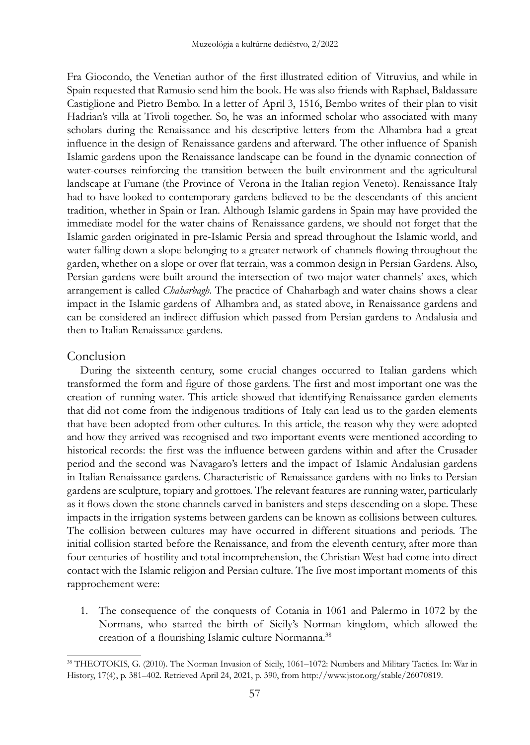Fra Giocondo, the Venetian author of the first illustrated edition of Vitruvius, and while in Spain requested that Ramusio send him the book. He was also friends with Raphael, Baldassare Castiglione and Pietro Bembo. In a letter of April 3, 1516, Bembo writes of their plan to visit Hadrian's villa at Tivoli together. So, he was an informed scholar who associated with many scholars during the Renaissance and his descriptive letters from the Alhambra had a great influence in the design of Renaissance gardens and afterward. The other influence of Spanish Islamic gardens upon the Renaissance landscape can be found in the dynamic connection of water-courses reinforcing the transition between the built environment and the agricultural landscape at Fumane (the Province of Verona in the Italian region Veneto). Renaissance Italy had to have looked to contemporary gardens believed to be the descendants of this ancient tradition, whether in Spain or Iran. Although Islamic gardens in Spain may have provided the immediate model for the water chains of Renaissance gardens, we should not forget that the Islamic garden originated in pre-Islamic Persia and spread throughout the Islamic world, and water falling down a slope belonging to a greater network of channels flowing throughout the garden, whether on a slope or over flat terrain, was a common design in Persian Gardens. Also, Persian gardens were built around the intersection of two major water channels' axes, which arrangement is called *Chaharbagh*. The practice of Chaharbagh and water chains shows a clear impact in the Islamic gardens of Alhambra and, as stated above, in Renaissance gardens and can be considered an indirect diffusion which passed from Persian gardens to Andalusia and then to Italian Renaissance gardens.

#### **Conclusion**

During the sixteenth century, some crucial changes occurred to Italian gardens which transformed the form and figure of those gardens. The first and most important one was the creation of running water. This article showed that identifying Renaissance garden elements that did not come from the indigenous traditions of Italy can lead us to the garden elements that have been adopted from other cultures. In this article, the reason why they were adopted and how they arrived was recognised and two important events were mentioned according to historical records: the first was the influence between gardens within and after the Crusader period and the second was Navagaro's letters and the impact of Islamic Andalusian gardens in Italian Renaissance gardens. Characteristic of Renaissance gardens with no links to Persian gardens are sculpture, topiary and grottoes. The relevant features are running water, particularly as it flows down the stone channels carved in banisters and steps descending on a slope. These impacts in the irrigation systems between gardens can be known as collisions between cultures. The collision between cultures may have occurred in different situations and periods. The initial collision started before the Renaissance, and from the eleventh century, after more than four centuries of hostility and total incomprehension, the Christian West had come into direct contact with the Islamic religion and Persian culture. The five most important moments of this rapprochement were:

1. The consequence of the conquests of Cotania in 1061 and Palermo in 1072 by the Normans, who started the birth of Sicily's Norman kingdom, which allowed the creation of a flourishing Islamic culture Normanna.<sup>38</sup>

<sup>38</sup> THEOTOKIS, G. (2010). The Norman Invasion of Sicily, 1061–1072: Numbers and Military Tactics. In: War in History, 17(4), p. 381–402. Retrieved April 24, 2021, p. 390, from http://www.jstor.org/stable/26070819.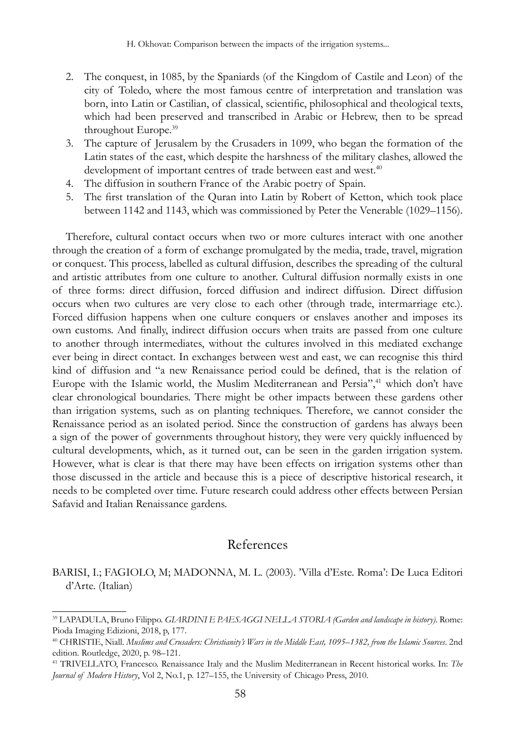- 2. The conquest, in 1085, by the Spaniards (of the Kingdom of Castile and Leon) of the city of Toledo, where the most famous centre of interpretation and translation was born, into Latin or Castilian, of classical, scientific, philosophical and theological texts, which had been preserved and transcribed in Arabic or Hebrew, then to be spread throughout Europe.39
- 3. The capture of Jerusalem by the Crusaders in 1099, who began the formation of the Latin states of the east, which despite the harshness of the military clashes, allowed the development of important centres of trade between east and west.<sup>40</sup>
- 4. The diffusion in southern France of the Arabic poetry of Spain.
- 5. The first translation of the Quran into Latin by Robert of Ketton, which took place between 1142 and 1143, which was commissioned by Peter the Venerable (1029–1156).

Therefore, cultural contact occurs when two or more cultures interact with one another through the creation of a form of exchange promulgated by the media, trade, travel, migration or conquest. This process, labelled as cultural diffusion, describes the spreading of the cultural and artistic attributes from one culture to another. Cultural diffusion normally exists in one of three forms: direct diffusion, forced diffusion and indirect diffusion. Direct diffusion occurs when two cultures are very close to each other (through trade, intermarriage etc.). Forced diffusion happens when one culture conquers or enslaves another and imposes its own customs. And finally, indirect diffusion occurs when traits are passed from one culture to another through intermediates, without the cultures involved in this mediated exchange ever being in direct contact. In exchanges between west and east, we can recognise this third kind of diffusion and "a new Renaissance period could be defined, that is the relation of Europe with the Islamic world, the Muslim Mediterranean and Persia",<sup>41</sup> which don't have clear chronological boundaries. There might be other impacts between these gardens other than irrigation systems, such as on planting techniques. Therefore, we cannot consider the Renaissance period as an isolated period. Since the construction of gardens has always been a sign of the power of governments throughout history, they were very quickly influenced by cultural developments, which, as it turned out, can be seen in the garden irrigation system. However, what is clear is that there may have been effects on irrigation systems other than those discussed in the article and because this is a piece of descriptive historical research, it needs to be completed over time. Future research could address other effects between Persian Safavid and Italian Renaissance gardens.

## References

BARISI, I.; FAGIOLO, M; MADONNA, M. L. (2003). 'Villa d'Este. Roma': De Luca Editori d'Arte. (Italian)

<sup>39</sup> LAPADULA, Bruno Filippo. *GIARDINI E PAESAGGI NELLA STORIA (Garden and landscape in history)*. Rome: Pioda Imaging Edizioni, 2018, p, 177.

<sup>40</sup> CHRISTIE, Niall. *Muslims and Crusaders: Christianity's Wars in the Middle East, 1095–1382, from the Islamic Sources*. 2nd edition. Routledge, 2020, p. 98–121.

<sup>41</sup> TRIVELLATO, Francesco. Renaissance Italy and the Muslim Mediterranean in Recent historical works. In: *The Journal of Modern History*, Vol 2, No.1, p. 127–155, the University of Chicago Press, 2010.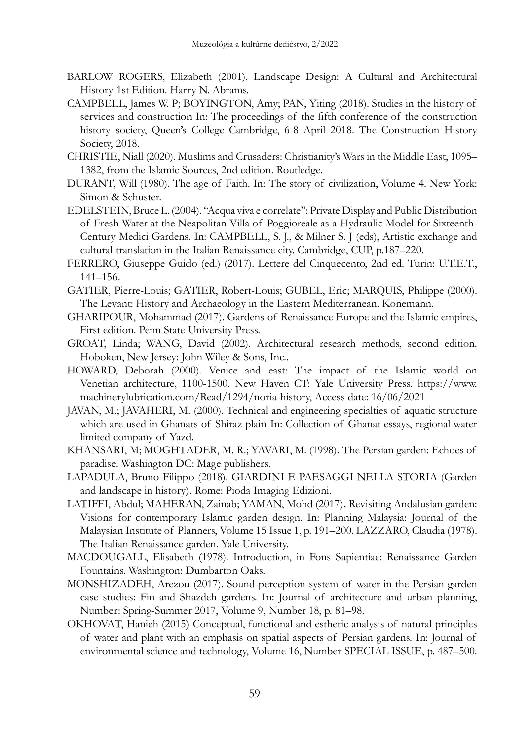- BARLOW ROGERS, Elizabeth (2001). Landscape Design: A Cultural and Architectural History 1st Edition. Harry N. Abrams.
- CAMPBELL, James W. P; BOYINGTON, Amy; PAN, Yiting (2018). Studies in the history of services and construction In: The proceedings of the fifth conference of the construction history society, Queen's College Cambridge, 6-8 April 2018. The Construction History Society, 2018.
- CHRISTIE, Niall (2020). Muslims and Crusaders: Christianity's Wars in the Middle East, 1095– 1382, from the Islamic Sources, 2nd edition. Routledge.
- DURANT, Will (1980). The age of Faith. In: The story of civilization, Volume 4. New York: Simon & Schuster.
- EDELSTEIN, Bruce L. (2004). "Acqua viva e correlate": Private Display and Public Distribution of Fresh Water at the Neapolitan Villa of Poggioreale as a Hydraulic Model for Sixteenth-Century Medici Gardens. In: CAMPBELL, S. J., & Milner S. J (eds), Artistic exchange and cultural translation in the Italian Renaissance city. Cambridge, CUP, p.187–220.
- FERRERO, Giuseppe Guido (ed.) (2017). Lettere del Cinquecento, 2nd ed. Turin: U.T.E.T., 141–156.
- GATIER, Pierre-Louis; GATIER, Robert-Louis; GUBEL, Eric; MARQUIS, Philippe (2000). The Levant: History and Archaeology in the Eastern Mediterranean. Konemann.
- GHARIPOUR, Mohammad (2017). Gardens of Renaissance Europe and the Islamic empires, First edition. Penn State University Press.
- GROAT, Linda; WANG, David (2002). Architectural research methods, second edition. Hoboken, New Jersey: John Wiley & Sons, Inc..
- HOWARD, Deborah (2000). Venice and east: The impact of the Islamic world on Venetian architecture, 1100-1500. New Haven CT: Yale University Press. https://www. machinerylubrication.com/Read/1294/noria-history, Access date: 16/06/2021
- JAVAN, M.; JAVAHERI, M. (2000). Technical and engineering specialties of aquatic structure which are used in Ghanats of Shiraz plain In: Collection of Ghanat essays, regional water limited company of Yazd.
- KHANSARI, M; MOGHTADER, M. R.; YAVARI, M. (1998). The Persian garden: Echoes of paradise. Washington DC: Mage publishers.
- LAPADULA, Bruno Filippo (2018). GIARDINI E PAESAGGI NELLA STORIA (Garden and landscape in history). Rome: Pioda Imaging Edizioni.
- LATIFFI, Abdul; MAHERAN, Zainab; YAMAN, Mohd (2017)**.** Revisiting Andalusian garden: Visions for contemporary Islamic garden design. In: Planning Malaysia: Journal of the Malaysian Institute of Planners, Volume 15 Issue 1, p. 191–200. LAZZARO, Claudia (1978). The Italian Renaissance garden. Yale University.
- MACDOUGALL, Elisabeth (1978). Introduction, in Fons Sapientiae: Renaissance Garden Fountains. Washington: Dumbarton Oaks.
- MONSHIZADEH, Arezou (2017). Sound-perception system of water in the Persian garden case studies: Fin and Shazdeh gardens. In: Journal of architecture and urban planning, Number: Spring-Summer 2017, Volume 9, Number 18, p. 81–98.
- OKHOVAT, Hanieh (2015) Conceptual, functional and esthetic analysis of natural principles of water and plant with an emphasis on spatial aspects of Persian gardens. In: Journal of environmental science and technology, Volume 16, Number SPECIAL ISSUE, p. 487–500.